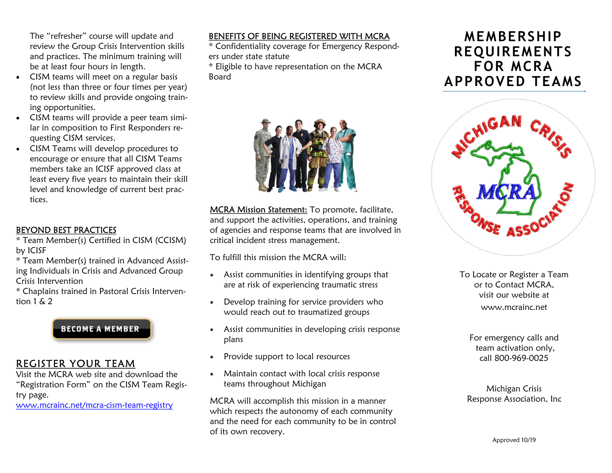The "refresher" course will update and review the Group Crisis Intervention skills and practices. The minimum training will be at least four hours in length.

- · CISM teams will meet on a regular basis (not less than three or four times per year) to review skills and provide ongoing training opportunities.
- CISM teams will provide a peer team similar in composition to First Responders requesting CISM services.
- · CISM Teams will develop procedures to encourage or ensure that all CISM Teams members take an ICISF approved class at least every five years to maintain their skill level and knowledge of current best practices.

#### BEYOND BEST PRACTICES

- \* Team Member(s) Certified in CISM (CCISM) by ICISF
- \* Team Member(s) trained in Advanced Assisting Individuals in Crisis and Advanced Group Crisis Intervention
- \* Chaplains trained in Pastoral Crisis Intervention  $1 \& 2$



# REGISTER YOUR TEAM

Visit the MCRA web site and download the "Registration Form" on the CISM Team Registry page.

www.mcrainc.net/mcra-cism-team-registry

# BENEFITS OF BEING REGISTERED WITH MCRA

\* Confidentiality coverage for Emergency Responders under state statute

\* Eligible to have representation on the MCRA Board



MCRA Mission Statement: To promote, facilitate, and support the activities, operations, and training of agencies and response teams that are involved in critical incident stress management.

To fulfill this mission the MCRA will:

- · Assist communities in identifying groups that are at risk of experiencing traumatic stress
- · Develop training for service providers who would reach out to traumatized groups
- · Assist communities in developing crisis response plans
- · Provide support to local resources
- · Maintain contact with local crisis response teams throughout Michigan

MCRA will accomplish this mission in a manner which respects the autonomy of each community and the need for each community to be in control of its own recovery.

# **MEMBERSHIP REQUIREMENTS** FOR MCRA APPROVED TEAMS



To Locate or Register a Team or to Contact MCRA, visit our website at www.mcrainc.net

For emergency calls and team activation only, call 800-969-0025

Michigan Crisis Response Association, Inc